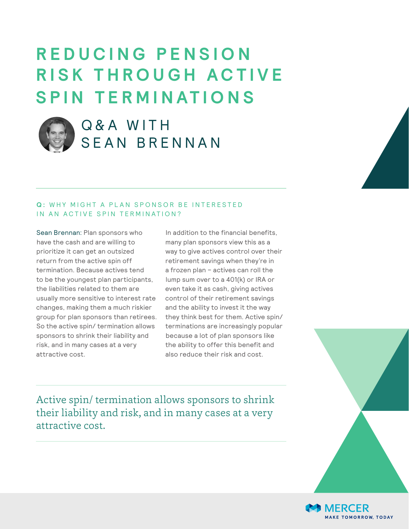# **R E D U C I N G P E N S I O N R I S K T H R O U G H A C T I V E SPIN TERMINATIONS**



## Q & A WITH SEAN BRENNAN

### **Q: WHY MIGHT A PLAN SPONSOR BE INTERESTED** IN AN ACTIVE SPIN TERMINATION?

Sean Brennan: Plan sponsors who have the cash and are willing to prioritize it can get an outsized return from the active spin off termination. Because actives tend to be the youngest plan participants, the liabilities related to them are usually more sensitive to interest rate changes, making them a much riskier group for plan sponsors than retirees. So the active spin/ termination allows sponsors to shrink their liability and risk, and in many cases at a very attractive cost.

In addition to the financial benefits, many plan sponsors view this as a way to give actives control over their retirement savings when they're in a frozen plan – actives can roll the lump sum over to a 401(k) or IRA or even take it as cash, giving actives control of their retirement savings and the ability to invest it the way they think best for them. Active spin/ terminations are increasingly popular because a lot of plan sponsors like the ability to offer this benefit and also reduce their risk and cost.

Active spin/ termination allows sponsors to shrink their liability and risk, and in many cases at a very attractive cost.